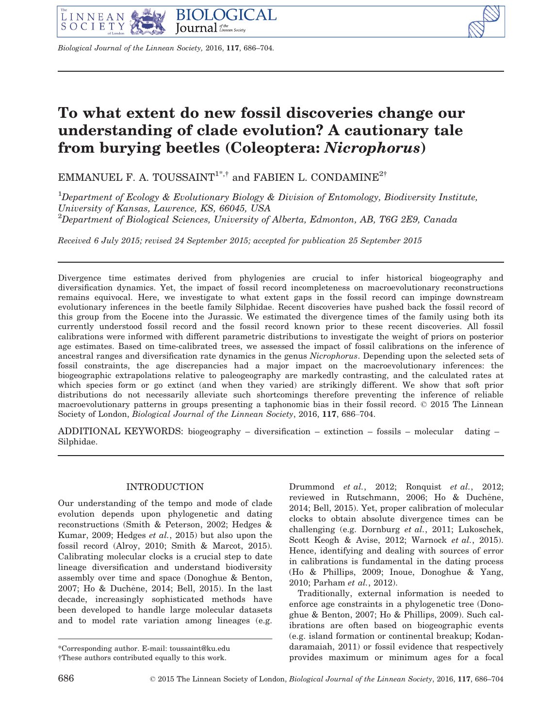

Biological Journal of the Linnean Society, 2016, 117, 686–704.

# To what extent do new fossil discoveries change our understanding of clade evolution? A cautionary tale from burying beetles (Coleoptera: Nicrophorus)

EMMANUEL F. A. TOUSSAINT<sup>1\*,†</sup> and FABIEN L. CONDAMINE<sup>2†</sup>

<sup>1</sup>Department of Ecology & Evolutionary Biology & Division of Entomology, Biodiversity Institute, University of Kansas, Lawrence, KS, 66045, USA  $^{2}$ Department of Biological Sciences, University of Alberta, Edmonton, AB, T6G 2E9, Canada

Received 6 July 2015; revised 24 September 2015; accepted for publication 25 September 2015

Divergence time estimates derived from phylogenies are crucial to infer historical biogeography and diversification dynamics. Yet, the impact of fossil record incompleteness on macroevolutionary reconstructions remains equivocal. Here, we investigate to what extent gaps in the fossil record can impinge downstream evolutionary inferences in the beetle family Silphidae. Recent discoveries have pushed back the fossil record of this group from the Eocene into the Jurassic. We estimated the divergence times of the family using both its currently understood fossil record and the fossil record known prior to these recent discoveries. All fossil calibrations were informed with different parametric distributions to investigate the weight of priors on posterior age estimates. Based on time-calibrated trees, we assessed the impact of fossil calibrations on the inference of ancestral ranges and diversification rate dynamics in the genus Nicrophorus. Depending upon the selected sets of fossil constraints, the age discrepancies had a major impact on the macroevolutionary inferences: the biogeographic extrapolations relative to paleogeography are markedly contrasting, and the calculated rates at which species form or go extinct (and when they varied) are strikingly different. We show that soft prior distributions do not necessarily alleviate such shortcomings therefore preventing the inference of reliable macroevolutionary patterns in groups presenting a taphonomic bias in their fossil record. © 2015 The Linnean Society of London, Biological Journal of the Linnean Society, 2016, 117, 686–704.

ADDITIONAL KEYWORDS: biogeography – diversification – extinction – fossils – molecular dating – Silphidae.

# INTRODUCTION

Our understanding of the tempo and mode of clade evolution depends upon phylogenetic and dating reconstructions (Smith & Peterson, 2002; Hedges & Kumar, 2009; Hedges et al., 2015) but also upon the fossil record (Alroy, 2010; Smith & Marcot, 2015). Calibrating molecular clocks is a crucial step to date lineage diversification and understand biodiversity assembly over time and space (Donoghue & Benton, 2007; Ho & Duch^ene, 2014; Bell, 2015). In the last decade, increasingly sophisticated methods have been developed to handle large molecular datasets and to model rate variation among lineages (e.g.

Drummond et al., 2012; Ronquist et al., 2012; reviewed in Rutschmann, 2006; Ho & Duchêne, 2014; Bell, 2015). Yet, proper calibration of molecular clocks to obtain absolute divergence times can be challenging (e.g. Dornburg et al., 2011; Lukoschek, Scott Keogh & Avise, 2012; Warnock et al., 2015). Hence, identifying and dealing with sources of error in calibrations is fundamental in the dating process (Ho & Phillips, 2009; Inoue, Donoghue & Yang, 2010; Parham et al., 2012).

Traditionally, external information is needed to enforce age constraints in a phylogenetic tree (Donoghue & Benton, 2007; Ho & Phillips, 2009). Such calibrations are often based on biogeographic events (e.g. island formation or continental breakup; Kodandaramaiah, 2011) or fossil evidence that respectively provides maximum or minimum ages for a focal

<sup>\*</sup>Corresponding author. E-mail: [toussaint@ku.edu](mailto:toussaint@ku.edu)

<sup>†</sup>These authors contributed equally to this work.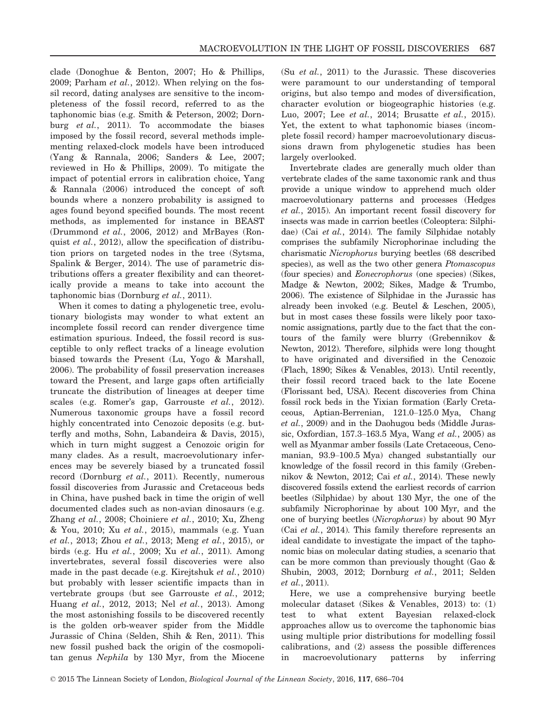clade (Donoghue & Benton, 2007; Ho & Phillips, 2009; Parham et al., 2012). When relying on the fossil record, dating analyses are sensitive to the incompleteness of the fossil record, referred to as the taphonomic bias (e.g. Smith & Peterson, 2002; Dornburg et al., 2011). To accommodate the biases imposed by the fossil record, several methods implementing relaxed-clock models have been introduced (Yang & Rannala, 2006; Sanders & Lee, 2007; reviewed in Ho & Phillips, 2009). To mitigate the impact of potential errors in calibration choice, Yang & Rannala (2006) introduced the concept of soft bounds where a nonzero probability is assigned to ages found beyond specified bounds. The most recent methods, as implemented for instance in BEAST (Drummond et al., 2006, 2012) and MrBayes (Ronquist et al., 2012), allow the specification of distribution priors on targeted nodes in the tree (Sytsma, Spalink & Berger, 2014). The use of parametric distributions offers a greater flexibility and can theoretically provide a means to take into account the taphonomic bias (Dornburg et al., 2011).

When it comes to dating a phylogenetic tree, evolutionary biologists may wonder to what extent an incomplete fossil record can render divergence time estimation spurious. Indeed, the fossil record is susceptible to only reflect tracks of a lineage evolution biased towards the Present (Lu, Yogo & Marshall, 2006). The probability of fossil preservation increases toward the Present, and large gaps often artificially truncate the distribution of lineages at deeper time scales (e.g. Romer's gap, Garrouste et al., 2012). Numerous taxonomic groups have a fossil record highly concentrated into Cenozoic deposits (e.g. butterfly and moths, Sohn, Labandeira & Davis, 2015), which in turn might suggest a Cenozoic origin for many clades. As a result, macroevolutionary inferences may be severely biased by a truncated fossil record (Dornburg et al., 2011). Recently, numerous fossil discoveries from Jurassic and Cretaceous beds in China, have pushed back in time the origin of well documented clades such as non-avian dinosaurs (e.g. Zhang et al., 2008; Choiniere et al., 2010; Xu, Zheng & You, 2010; Xu et al., 2015), mammals (e.g. Yuan et al., 2013; Zhou et al., 2013; Meng et al., 2015), or birds (e.g. Hu et al., 2009; Xu et al., 2011). Among invertebrates, several fossil discoveries were also made in the past decade (e.g. Kirejtshuk et al., 2010) but probably with lesser scientific impacts than in vertebrate groups (but see Garrouste et al., 2012; Huang et al., 2012, 2013; Nel et al., 2013). Among the most astonishing fossils to be discovered recently is the golden orb-weaver spider from the Middle Jurassic of China (Selden, Shih & Ren, 2011). This new fossil pushed back the origin of the cosmopolitan genus Nephila by 130 Myr, from the Miocene (Su et al., 2011) to the Jurassic. These discoveries were paramount to our understanding of temporal origins, but also tempo and modes of diversification, character evolution or biogeographic histories (e.g. Luo, 2007; Lee et al., 2014; Brusatte et al., 2015). Yet, the extent to what taphonomic biases (incomplete fossil record) hamper macroevolutionary discussions drawn from phylogenetic studies has been largely overlooked.

Invertebrate clades are generally much older than vertebrate clades of the same taxonomic rank and thus provide a unique window to apprehend much older macroevolutionary patterns and processes (Hedges et al., 2015). An important recent fossil discovery for insects was made in carrion beetles (Coleoptera: Silphidae) (Cai et al., 2014). The family Silphidae notably comprises the subfamily Nicrophorinae including the charismatic Nicrophorus burying beetles (68 described species), as well as the two other genera *Ptomascopus* (four species) and Eonecrophorus (one species) (Sikes, Madge & Newton, 2002; Sikes, Madge & Trumbo, 2006). The existence of Silphidae in the Jurassic has already been invoked (e.g. Beutel & Leschen, 2005), but in most cases these fossils were likely poor taxonomic assignations, partly due to the fact that the contours of the family were blurry (Grebennikov & Newton, 2012). Therefore, silphids were long thought to have originated and diversified in the Cenozoic (Flach, 1890; Sikes & Venables, 2013). Until recently, their fossil record traced back to the late Eocene (Florissant bed, USA). Recent discoveries from China fossil rock beds in the Yixian formation (Early Cretaceous, Aptian-Berrenian, 121.0–125.0 Mya, Chang et al., 2009) and in the Daohugou beds (Middle Jurassic, Oxfordian, 157.3–163.5 Mya, Wang et al., 2005) as well as Myanmar amber fossils (Late Cretaceous, Cenomanian, 93.9–100.5 Mya) changed substantially our knowledge of the fossil record in this family (Grebennikov & Newton, 2012; Cai et al., 2014). These newly discovered fossils extend the earliest records of carrion beetles (Silphidae) by about 130 Myr, the one of the subfamily Nicrophorinae by about 100 Myr, and the one of burying beetles (Nicrophorus) by about 90 Myr (Cai et al., 2014). This family therefore represents an ideal candidate to investigate the impact of the taphonomic bias on molecular dating studies, a scenario that can be more common than previously thought (Gao & Shubin, 2003, 2012; Dornburg et al., 2011; Selden et al., 2011).

Here, we use a comprehensive burying beetle molecular dataset (Sikes & Venables, 2013) to: (1) test to what extent Bayesian relaxed-clock approaches allow us to overcome the taphonomic bias using multiple prior distributions for modelling fossil calibrations, and (2) assess the possible differences in macroevolutionary patterns by inferring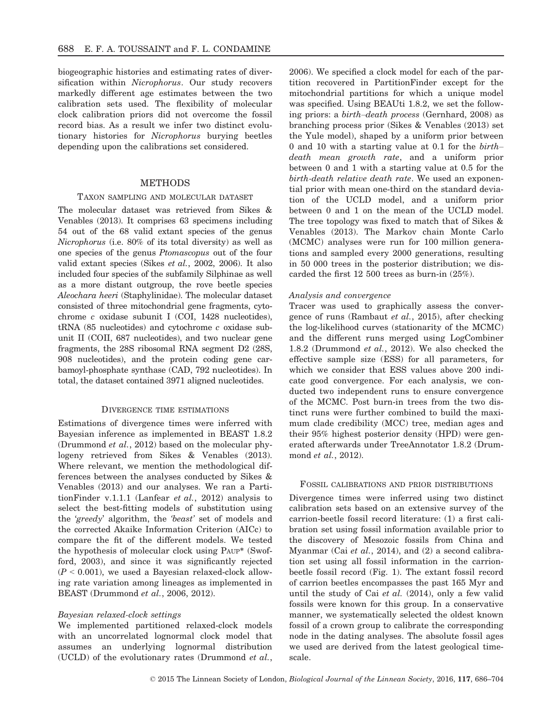biogeographic histories and estimating rates of diversification within Nicrophorus. Our study recovers markedly different age estimates between the two calibration sets used. The flexibility of molecular clock calibration priors did not overcome the fossil record bias. As a result we infer two distinct evolutionary histories for Nicrophorus burying beetles depending upon the calibrations set considered.

## **METHODS**

## TAXON SAMPLING AND MOLECULAR DATASET

The molecular dataset was retrieved from Sikes & Venables (2013). It comprises 63 specimens including 54 out of the 68 valid extant species of the genus Nicrophorus (i.e. 80% of its total diversity) as well as one species of the genus Ptomascopus out of the four valid extant species (Sikes et al., 2002, 2006). It also included four species of the subfamily Silphinae as well as a more distant outgroup, the rove beetle species Aleochara heeri (Staphylinidae). The molecular dataset consisted of three mitochondrial gene fragments, cytochrome c oxidase subunit I (COI, 1428 nucleotides), tRNA (85 nucleotides) and cytochrome c oxidase subunit II (COII, 687 nucleotides), and two nuclear gene fragments, the 28S ribosomal RNA segment D2 (28S, 908 nucleotides), and the protein coding gene carbamoyl-phosphate synthase (CAD, 792 nucleotides). In total, the dataset contained 3971 aligned nucleotides.

## DIVERGENCE TIME ESTIMATIONS

Estimations of divergence times were inferred with Bayesian inference as implemented in BEAST 1.8.2 (Drummond et al., 2012) based on the molecular phylogeny retrieved from Sikes & Venables (2013). Where relevant, we mention the methodological differences between the analyses conducted by Sikes & Venables (2013) and our analyses. We ran a PartitionFinder v.1.1.1 (Lanfear et al., 2012) analysis to select the best-fitting models of substitution using the 'greedy' algorithm, the 'beast' set of models and the corrected Akaike Information Criterion (AICc) to compare the fit of the different models. We tested the hypothesis of molecular clock using PAUP\* (Swofford, 2003), and since it was significantly rejected  $(P < 0.001)$ , we used a Bayesian relaxed-clock allowing rate variation among lineages as implemented in BEAST (Drummond et al., 2006, 2012).

#### Bayesian relaxed-clock settings

We implemented partitioned relaxed-clock models with an uncorrelated lognormal clock model that assumes an underlying lognormal distribution (UCLD) of the evolutionary rates (Drummond et al.,

2006). We specified a clock model for each of the partition recovered in PartitionFinder except for the mitochondrial partitions for which a unique model was specified. Using BEAUti 1.8.2, we set the following priors: a birth–death process (Gernhard, 2008) as branching process prior (Sikes & Venables (2013) set the Yule model), shaped by a uniform prior between 0 and 10 with a starting value at 0.1 for the birth– death mean growth rate, and a uniform prior between 0 and 1 with a starting value at 0.5 for the birth-death relative death rate. We used an exponential prior with mean one-third on the standard deviation of the UCLD model, and a uniform prior between 0 and 1 on the mean of the UCLD model. The tree topology was fixed to match that of Sikes & Venables (2013). The Markov chain Monte Carlo (MCMC) analyses were run for 100 million generations and sampled every 2000 generations, resulting in 50 000 trees in the posterior distribution; we discarded the first 12 500 trees as burn-in (25%).

#### Analysis and convergence

Tracer was used to graphically assess the convergence of runs (Rambaut et al., 2015), after checking the log-likelihood curves (stationarity of the MCMC) and the different runs merged using LogCombiner 1.8.2 (Drummond et al., 2012). We also checked the effective sample size (ESS) for all parameters, for which we consider that ESS values above 200 indicate good convergence. For each analysis, we conducted two independent runs to ensure convergence of the MCMC. Post burn-in trees from the two distinct runs were further combined to build the maximum clade credibility (MCC) tree, median ages and their 95% highest posterior density (HPD) were generated afterwards under TreeAnnotator 1.8.2 (Drummond et al., 2012).

#### FOSSIL CALIBRATIONS AND PRIOR DISTRIBUTIONS

Divergence times were inferred using two distinct calibration sets based on an extensive survey of the carrion-beetle fossil record literature: (1) a first calibration set using fossil information available prior to the discovery of Mesozoic fossils from China and Myanmar (Cai et al., 2014), and (2) a second calibration set using all fossil information in the carrionbeetle fossil record (Fig. 1). The extant fossil record of carrion beetles encompasses the past 165 Myr and until the study of Cai et al.  $(2014)$ , only a few valid fossils were known for this group. In a conservative manner, we systematically selected the oldest known fossil of a crown group to calibrate the corresponding node in the dating analyses. The absolute fossil ages we used are derived from the latest geological timescale.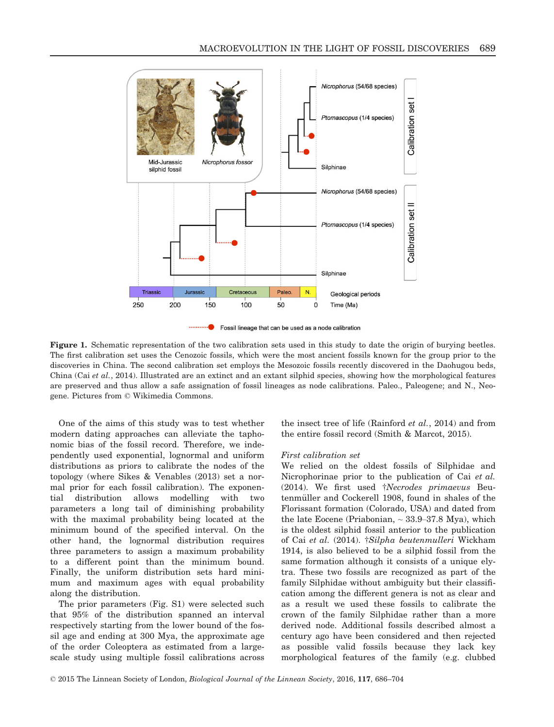

Fossil lineage that can be used as a node calibration

Figure 1. Schematic representation of the two calibration sets used in this study to date the origin of burying beetles. The first calibration set uses the Cenozoic fossils, which were the most ancient fossils known for the group prior to the discoveries in China. The second calibration set employs the Mesozoic fossils recently discovered in the Daohugou beds, China (Cai et al., 2014). Illustrated are an extinct and an extant silphid species, showing how the morphological features are preserved and thus allow a safe assignation of fossil lineages as node calibrations. Paleo., Paleogene; and N., Neogene. Pictures from © Wikimedia Commons.

One of the aims of this study was to test whether modern dating approaches can alleviate the taphonomic bias of the fossil record. Therefore, we independently used exponential, lognormal and uniform distributions as priors to calibrate the nodes of the topology (where Sikes & Venables (2013) set a normal prior for each fossil calibration). The exponential distribution allows modelling with two parameters a long tail of diminishing probability with the maximal probability being located at the minimum bound of the specified interval. On the other hand, the lognormal distribution requires three parameters to assign a maximum probability to a different point than the minimum bound. Finally, the uniform distribution sets hard minimum and maximum ages with equal probability along the distribution.

The prior parameters (Fig. S1) were selected such that 95% of the distribution spanned an interval respectively starting from the lower bound of the fossil age and ending at 300 Mya, the approximate age of the order Coleoptera as estimated from a largescale study using multiple fossil calibrations across the insect tree of life (Rainford  $et$   $al$ , 2014) and from the entire fossil record (Smith & Marcot, 2015).

#### First calibration set

We relied on the oldest fossils of Silphidae and Nicrophorinae prior to the publication of Cai et al. (2014). We first used †Necrodes primaevus Beutenmüller and Cockerell 1908, found in shales of the Florissant formation (Colorado, USA) and dated from the late Eocene (Priabonian,  $\sim$  33.9–37.8 Mya), which is the oldest silphid fossil anterior to the publication of Cai et al. (2014). †Silpha beutenmulleri Wickham 1914, is also believed to be a silphid fossil from the same formation although it consists of a unique elytra. These two fossils are recognized as part of the family Silphidae without ambiguity but their classification among the different genera is not as clear and as a result we used these fossils to calibrate the crown of the family Silphidae rather than a more derived node. Additional fossils described almost a century ago have been considered and then rejected as possible valid fossils because they lack key morphological features of the family (e.g. clubbed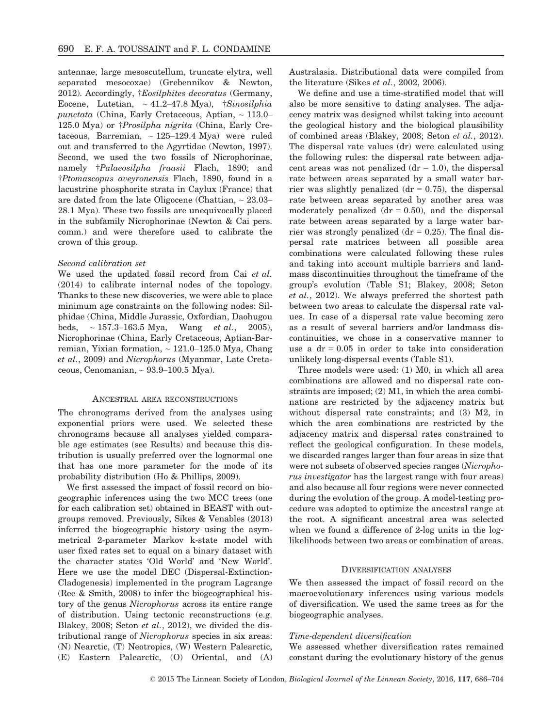antennae, large mesoscutellum, truncate elytra, well separated mesocoxae) (Grebennikov & Newton, 2012). Accordingly, †Eosilphites decoratus (Germany, Eocene, Lutetian,  $\sim 41.2 - 47.8$  Mya),  $\frac{1}{2}$ Sinosilphia punctata (China, Early Cretaceous, Aptian,  $\sim$  113.0– 125.0 Mya) or †Prosilpha nigrita (China, Early Cretaceous, Barremian,  $\sim$  125-129.4 Mya) were ruled out and transferred to the Agyrtidae (Newton, 1997). Second, we used the two fossils of Nicrophorinae, namely †Palaeosilpha fraasii Flach, 1890; and †Ptomascopus aveyronensis Flach, 1890, found in a lacustrine phosphorite strata in Caylux (France) that are dated from the late Oligocene (Chattian,  $\sim 23.03-$ 28.1 Mya). These two fossils are unequivocally placed in the subfamily Nicrophorinae (Newton & Cai pers. comm.) and were therefore used to calibrate the crown of this group.

#### Second calibration set

We used the updated fossil record from Cai et al. (2014) to calibrate internal nodes of the topology. Thanks to these new discoveries, we were able to place minimum age constraints on the following nodes: Silphidae (China, Middle Jurassic, Oxfordian, Daohugou beds,  $\sim 157.3{\text -}163.5 \text{ Mya}$ , Wang *et al.*, 2005), Nicrophorinae (China, Early Cretaceous, Aptian-Barremian, Yixian formation,  $\sim$  121.0–125.0 Mya, Chang et al., 2009) and Nicrophorus (Myanmar, Late Cretaceous, Cenomanian,  $\sim$  93.9–100.5 Mya).

#### ANCESTRAL AREA RECONSTRUCTIONS

The chronograms derived from the analyses using exponential priors were used. We selected these chronograms because all analyses yielded comparable age estimates (see Results) and because this distribution is usually preferred over the lognormal one that has one more parameter for the mode of its probability distribution (Ho & Phillips, 2009).

We first assessed the impact of fossil record on biogeographic inferences using the two MCC trees (one for each calibration set) obtained in BEAST with outgroups removed. Previously, Sikes & Venables (2013) inferred the biogeographic history using the asymmetrical 2-parameter Markov k-state model with user fixed rates set to equal on a binary dataset with the character states 'Old World' and 'New World'. Here we use the model DEC (Dispersal-Extinction-Cladogenesis) implemented in the program Lagrange (Ree & Smith, 2008) to infer the biogeographical history of the genus Nicrophorus across its entire range of distribution. Using tectonic reconstructions (e.g. Blakey, 2008; Seton et al., 2012), we divided the distributional range of Nicrophorus species in six areas: (N) Nearctic, (T) Neotropics, (W) Western Palearctic, (E) Eastern Palearctic, (O) Oriental, and (A) Australasia. Distributional data were compiled from the literature (Sikes et al., 2002, 2006).

We define and use a time-stratified model that will also be more sensitive to dating analyses. The adjacency matrix was designed whilst taking into account the geological history and the biological plausibility of combined areas (Blakey, 2008; Seton et al., 2012). The dispersal rate values (dr) were calculated using the following rules: the dispersal rate between adjacent areas was not penalized  $(dr = 1.0)$ , the dispersal rate between areas separated by a small water barrier was slightly penalized  $(dr = 0.75)$ , the dispersal rate between areas separated by another area was moderately penalized  $(dr = 0.50)$ , and the dispersal rate between areas separated by a large water barrier was strongly penalized ( $dr = 0.25$ ). The final dispersal rate matrices between all possible area combinations were calculated following these rules and taking into account multiple barriers and landmass discontinuities throughout the timeframe of the group's evolution (Table S1; Blakey, 2008; Seton et al., 2012). We always preferred the shortest path between two areas to calculate the dispersal rate values. In case of a dispersal rate value becoming zero as a result of several barriers and/or landmass discontinuities, we chose in a conservative manner to use a  $dr = 0.05$  in order to take into consideration unlikely long-dispersal events (Table S1).

Three models were used: (1) M0, in which all area combinations are allowed and no dispersal rate constraints are imposed; (2) M1, in which the area combinations are restricted by the adjacency matrix but without dispersal rate constraints; and (3) M2, in which the area combinations are restricted by the adjacency matrix and dispersal rates constrained to reflect the geological configuration. In these models, we discarded ranges larger than four areas in size that were not subsets of observed species ranges (Nicrophorus investigator has the largest range with four areas) and also because all four regions were never connected during the evolution of the group. A model-testing procedure was adopted to optimize the ancestral range at the root. A significant ancestral area was selected when we found a difference of 2-log units in the loglikelihoods between two areas or combination of areas.

## DIVERSIFICATION ANALYSES

We then assessed the impact of fossil record on the macroevolutionary inferences using various models of diversification. We used the same trees as for the biogeographic analyses.

#### Time-dependent diversification

We assessed whether diversification rates remained constant during the evolutionary history of the genus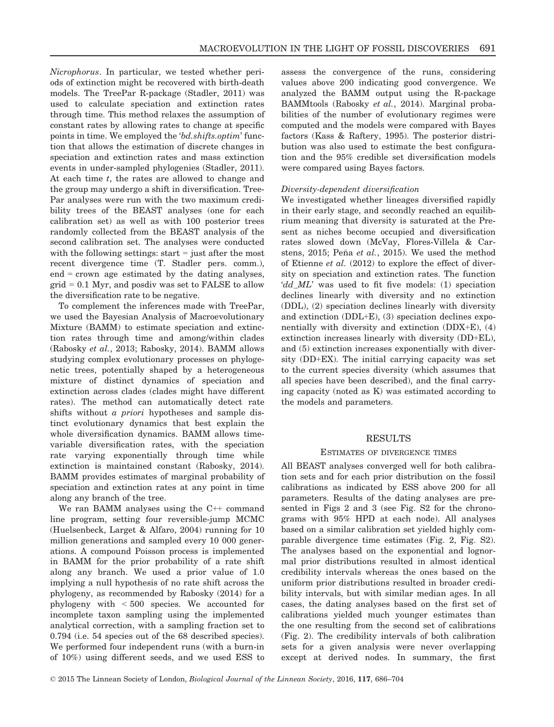Nicrophorus. In particular, we tested whether periods of extinction might be recovered with birth-death models. The TreePar R-package (Stadler, 2011) was used to calculate speciation and extinction rates through time. This method relaxes the assumption of constant rates by allowing rates to change at specific points in time. We employed the 'bd.shifts.optim' function that allows the estimation of discrete changes in speciation and extinction rates and mass extinction events in under-sampled phylogenies (Stadler, 2011). At each time t, the rates are allowed to change and the group may undergo a shift in diversification. Tree-Par analyses were run with the two maximum credibility trees of the BEAST analyses (one for each calibration set) as well as with 100 posterior trees randomly collected from the BEAST analysis of the second calibration set. The analyses were conducted with the following settings: start = just after the most recent divergence time (T. Stadler pers. comm.), end = crown age estimated by the dating analyses,  $grid = 0.1$  Myr, and posdiv was set to FALSE to allow the diversification rate to be negative.

To complement the inferences made with TreePar, we used the Bayesian Analysis of Macroevolutionary Mixture (BAMM) to estimate speciation and extinction rates through time and among/within clades (Rabosky et al., 2013; Rabosky, 2014). BAMM allows studying complex evolutionary processes on phylogenetic trees, potentially shaped by a heterogeneous mixture of distinct dynamics of speciation and extinction across clades (clades might have different rates). The method can automatically detect rate shifts without a priori hypotheses and sample distinct evolutionary dynamics that best explain the whole diversification dynamics. BAMM allows timevariable diversification rates, with the speciation rate varying exponentially through time while extinction is maintained constant (Rabosky, 2014). BAMM provides estimates of marginal probability of speciation and extinction rates at any point in time along any branch of the tree.

We ran BAMM analyses using the C++ command line program, setting four reversible-jump MCMC (Huelsenbeck, Larget & Alfaro, 2004) running for 10 million generations and sampled every 10 000 generations. A compound Poisson process is implemented in BAMM for the prior probability of a rate shift along any branch. We used a prior value of 1.0 implying a null hypothesis of no rate shift across the phylogeny, as recommended by Rabosky (2014) for a phylogeny with < 500 species. We accounted for incomplete taxon sampling using the implemented analytical correction, with a sampling fraction set to 0.794 (i.e. 54 species out of the 68 described species). We performed four independent runs (with a burn-in of 10%) using different seeds, and we used ESS to assess the convergence of the runs, considering values above 200 indicating good convergence. We analyzed the BAMM output using the R-package BAMMtools (Rabosky et al., 2014). Marginal probabilities of the number of evolutionary regimes were computed and the models were compared with Bayes factors (Kass & Raftery, 1995). The posterior distribution was also used to estimate the best configuration and the 95% credible set diversification models were compared using Bayes factors.

# Diversity-dependent diversification

We investigated whether lineages diversified rapidly in their early stage, and secondly reached an equilibrium meaning that diversity is saturated at the Present as niches become occupied and diversification rates slowed down (McVay, Flores-Villela & Carstens, 2015; Peña et al., 2015). We used the method of Etienne et al. (2012) to explore the effect of diversity on speciation and extinction rates. The function 'dd ML' was used to fit five models: (1) speciation declines linearly with diversity and no extinction (DDL), (2) speciation declines linearly with diversity and extinction (DDL+E), (3) speciation declines exponentially with diversity and extinction (DDX+E), (4) extinction increases linearly with diversity (DD+EL), and (5) extinction increases exponentially with diversity (DD+EX). The initial carrying capacity was set to the current species diversity (which assumes that all species have been described), and the final carrying capacity (noted as K) was estimated according to the models and parameters.

# RESULTS

## ESTIMATES OF DIVERGENCE TIMES

All BEAST analyses converged well for both calibration sets and for each prior distribution on the fossil calibrations as indicated by ESS above 200 for all parameters. Results of the dating analyses are presented in Figs 2 and 3 (see Fig. S2 for the chronograms with 95% HPD at each node). All analyses based on a similar calibration set yielded highly comparable divergence time estimates (Fig. 2, Fig. S2). The analyses based on the exponential and lognormal prior distributions resulted in almost identical credibility intervals whereas the ones based on the uniform prior distributions resulted in broader credibility intervals, but with similar median ages. In all cases, the dating analyses based on the first set of calibrations yielded much younger estimates than the one resulting from the second set of calibrations (Fig. 2). The credibility intervals of both calibration sets for a given analysis were never overlapping except at derived nodes. In summary, the first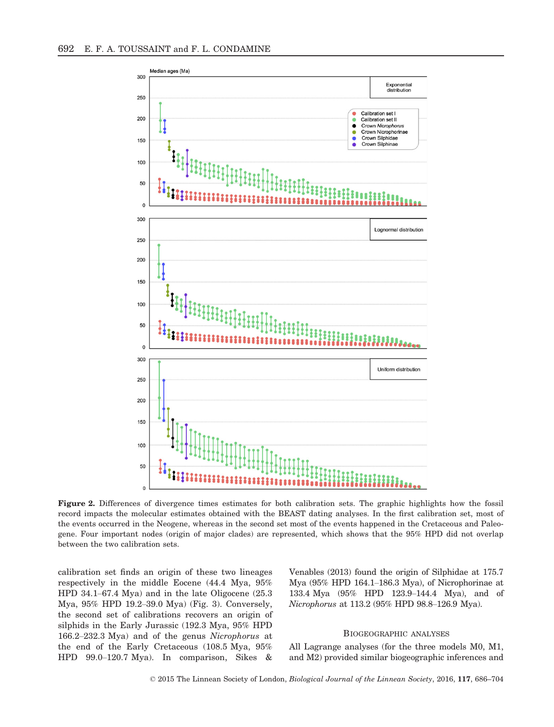

Figure 2. Differences of divergence times estimates for both calibration sets. The graphic highlights how the fossil record impacts the molecular estimates obtained with the BEAST dating analyses. In the first calibration set, most of the events occurred in the Neogene, whereas in the second set most of the events happened in the Cretaceous and Paleogene. Four important nodes (origin of major clades) are represented, which shows that the 95% HPD did not overlap between the two calibration sets.

calibration set finds an origin of these two lineages respectively in the middle Eocene (44.4 Mya, 95% HPD 34.1–67.4 Mya) and in the late Oligocene (25.3 Mya, 95% HPD 19.2–39.0 Mya) (Fig. 3). Conversely, the second set of calibrations recovers an origin of silphids in the Early Jurassic (192.3 Mya, 95% HPD 166.2–232.3 Mya) and of the genus Nicrophorus at the end of the Early Cretaceous (108.5 Mya, 95% HPD 99.0–120.7 Mya). In comparison, Sikes &

Venables (2013) found the origin of Silphidae at 175.7 Mya (95% HPD 164.1–186.3 Mya), of Nicrophorinae at 133.4 Mya (95% HPD 123.9–144.4 Mya), and of Nicrophorus at 113.2 (95% HPD 98.8–126.9 Mya).

# BIOGEOGRAPHIC ANALYSES

All Lagrange analyses (for the three models M0, M1, and M2) provided similar biogeographic inferences and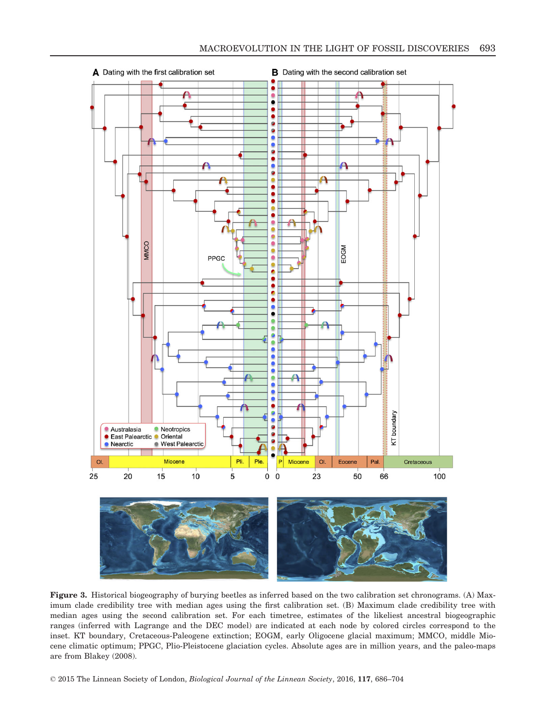

Figure 3. Historical biogeography of burying beetles as inferred based on the two calibration set chronograms. (A) Maximum clade credibility tree with median ages using the first calibration set. (B) Maximum clade credibility tree with median ages using the second calibration set. For each timetree, estimates of the likeliest ancestral biogeographic ranges (inferred with Lagrange and the DEC model) are indicated at each node by colored circles correspond to the inset. KT boundary, Cretaceous-Paleogene extinction; EOGM, early Oligocene glacial maximum; MMCO, middle Miocene climatic optimum; PPGC, Plio-Pleistocene glaciation cycles. Absolute ages are in million years, and the paleo-maps are from Blakey (2008).

© 2015 The Linnean Society of London, Biological Journal of the Linnean Society, 2016, 117, 686–704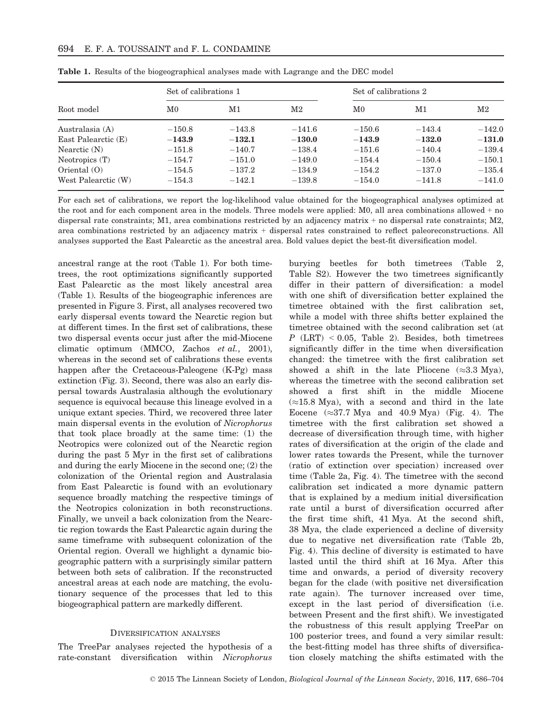|                     | Set of calibrations 1 |          |          |             | Set of calibrations 2 |          |  |
|---------------------|-----------------------|----------|----------|-------------|-----------------------|----------|--|
| Root model          | M0                    | M1       | $\rm M2$ | $_{\rm M0}$ | M1                    | $\rm M2$ |  |
| Australasia (A)     | $-150.8$              | $-143.8$ | $-141.6$ | $-150.6$    | $-143.4$              | $-142.0$ |  |
| East Palearctic (E) | $-143.9$              | $-132.1$ | $-130.0$ | $-143.9$    | $-132.0$              | $-131.0$ |  |
| Nearctic $(N)$      | $-151.8$              | $-140.7$ | $-138.4$ | $-151.6$    | $-140.4$              | $-139.4$ |  |
| Neotropics (T)      | $-154.7$              | $-151.0$ | $-149.0$ | $-154.4$    | $-150.4$              | $-150.1$ |  |
| Oriental $(0)$      | $-154.5$              | $-137.2$ | $-134.9$ | $-154.2$    | $-137.0$              | $-135.4$ |  |
| West Palearctic (W) | $-154.3$              | $-142.1$ | $-139.8$ | $-154.0$    | $-141.8$              | $-141.0$ |  |

Table 1. Results of the biogeographical analyses made with Lagrange and the DEC model

For each set of calibrations, we report the log-likelihood value obtained for the biogeographical analyses optimized at the root and for each component area in the models. Three models were applied: M0, all area combinations allowed + no dispersal rate constraints; M1, area combinations restricted by an adjacency matrix  $+$  no dispersal rate constraints; M2, area combinations restricted by an adjacency matrix + dispersal rates constrained to reflect paleoreconstructions. All analyses supported the East Palearctic as the ancestral area. Bold values depict the best-fit diversification model.

ancestral range at the root (Table 1). For both timetrees, the root optimizations significantly supported East Palearctic as the most likely ancestral area (Table 1). Results of the biogeographic inferences are presented in Figure 3. First, all analyses recovered two early dispersal events toward the Nearctic region but at different times. In the first set of calibrations, these two dispersal events occur just after the mid-Miocene climatic optimum (MMCO, Zachos et al., 2001), whereas in the second set of calibrations these events happen after the Cretaceous-Paleogene (K-Pg) mass extinction (Fig. 3). Second, there was also an early dispersal towards Australasia although the evolutionary sequence is equivocal because this lineage evolved in a unique extant species. Third, we recovered three later main dispersal events in the evolution of Nicrophorus that took place broadly at the same time: (1) the Neotropics were colonized out of the Nearctic region during the past 5 Myr in the first set of calibrations and during the early Miocene in the second one; (2) the colonization of the Oriental region and Australasia from East Palearctic is found with an evolutionary sequence broadly matching the respective timings of the Neotropics colonization in both reconstructions. Finally, we unveil a back colonization from the Nearctic region towards the East Palearctic again during the same timeframe with subsequent colonization of the Oriental region. Overall we highlight a dynamic biogeographic pattern with a surprisingly similar pattern between both sets of calibration. If the reconstructed ancestral areas at each node are matching, the evolutionary sequence of the processes that led to this biogeographical pattern are markedly different.

### DIVERSIFICATION ANALYSES

The TreePar analyses rejected the hypothesis of a rate-constant diversification within Nicrophorus

burying beetles for both timetrees (Table 2, Table S2). However the two timetrees significantly differ in their pattern of diversification: a model with one shift of diversification better explained the timetree obtained with the first calibration set, while a model with three shifts better explained the timetree obtained with the second calibration set (at  $P$  (LRT) < 0.05, Table 2). Besides, both timetrees significantly differ in the time when diversification changed: the timetree with the first calibration set showed a shift in the late Pliocene  $(\approx 3.3 \text{ Mya})$ , whereas the timetree with the second calibration set showed a first shift in the middle Miocene  $(\approx 15.8 \text{ Mya})$ , with a second and third in the late Eocene  $(\approx 37.7 \text{ Mya}$  and 40.9 Mya) (Fig. 4). The timetree with the first calibration set showed a decrease of diversification through time, with higher rates of diversification at the origin of the clade and lower rates towards the Present, while the turnover (ratio of extinction over speciation) increased over time (Table 2a, Fig. 4). The timetree with the second calibration set indicated a more dynamic pattern that is explained by a medium initial diversification rate until a burst of diversification occurred after the first time shift, 41 Mya. At the second shift, 38 Mya, the clade experienced a decline of diversity due to negative net diversification rate (Table 2b, Fig. 4). This decline of diversity is estimated to have lasted until the third shift at 16 Mya. After this time and onwards, a period of diversity recovery began for the clade (with positive net diversification rate again). The turnover increased over time, except in the last period of diversification (i.e. between Present and the first shift). We investigated the robustness of this result applying TreePar on 100 posterior trees, and found a very similar result: the best-fitting model has three shifts of diversification closely matching the shifts estimated with the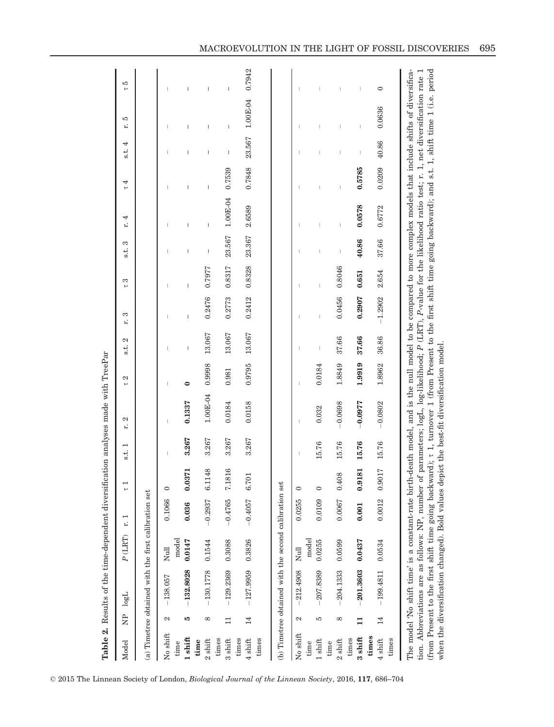|                            |              | Table 2. Results of the time-dependent diversification analyses made with TreePar                                                                                                                                                                                                                                                                                                                                                                                                     |           |           |                       |                                      |                                                                                                                                   |                |                          |           |        |                   |                |                     |                    |                 |                          |
|----------------------------|--------------|---------------------------------------------------------------------------------------------------------------------------------------------------------------------------------------------------------------------------------------------------------------------------------------------------------------------------------------------------------------------------------------------------------------------------------------------------------------------------------------|-----------|-----------|-----------------------|--------------------------------------|-----------------------------------------------------------------------------------------------------------------------------------|----------------|--------------------------|-----------|--------|-------------------|----------------|---------------------|--------------------|-----------------|--------------------------|
| Model                      | È            | logL                                                                                                                                                                                                                                                                                                                                                                                                                                                                                  | $P$ (LRT) | r.        | $\frac{1}{2}$         | $\mathbf{\mathbf{r}}$<br>$\ddot{s}.$ | 2<br>£,                                                                                                                           | 2<br>$\mapsto$ | 2<br>$\frac{1}{3}$       | S<br>r.   | S<br>۳ | S<br>$\ddot{s}$ . | 4<br>r.        | 4<br>$\overline{a}$ | 4<br>$\frac{1}{3}$ | ю<br>r.         | 5<br>۳                   |
|                            |              | (a) Timetree obtained with the first calibration set                                                                                                                                                                                                                                                                                                                                                                                                                                  |           |           |                       |                                      |                                                                                                                                   |                |                          |           |        |                   |                |                     |                    |                 |                          |
| No shift                   | 2            | $-138.057$                                                                                                                                                                                                                                                                                                                                                                                                                                                                            | Null      | 0.1066    | $\circ$               |                                      | $\overline{\phantom{a}}$                                                                                                          |                |                          |           |        |                   |                |                     |                    |                 |                          |
| 1 shift<br>time            | LQ           |                                                                                                                                                                                                                                                                                                                                                                                                                                                                                       | model     | 0.036     | 871                   |                                      | 0.1337                                                                                                                            |                |                          |           |        |                   |                |                     |                    |                 |                          |
|                            |              | $-132.8028$                                                                                                                                                                                                                                                                                                                                                                                                                                                                           | 0.0147    |           | $\ddot{\text{o}}$     | 3.267                                |                                                                                                                                   | $\bullet$      |                          |           |        |                   | I              | I                   |                    | I               | I                        |
| $2$ shift<br>time          | ${}^{\circ}$ | $-130.1778$                                                                                                                                                                                                                                                                                                                                                                                                                                                                           | 0.1544    | $-0.2937$ | 148<br>61             | 3.267                                | $1.00E-04$                                                                                                                        | 0.9998         | 13.067                   | 0.2476    | 0.7977 | I                 | Ï              | I                   |                    | ı               | I                        |
| times<br>3 shift           | $\Box$       | $-129.2369$                                                                                                                                                                                                                                                                                                                                                                                                                                                                           | 0.3088    | $-0.4765$ | 816<br>7.1            | 3.267                                | 0.0184                                                                                                                            | 0.981          | 13.067                   | 0.2773    | 0.8317 | 23.567            | $1.00E-04$     | 0.7539              | I                  | I               | $\overline{\phantom{a}}$ |
| times                      |              |                                                                                                                                                                                                                                                                                                                                                                                                                                                                                       |           |           |                       |                                      |                                                                                                                                   |                |                          |           |        |                   |                |                     |                    |                 |                          |
| $4 \text{ shift}$          | 14           | $-127.9959$                                                                                                                                                                                                                                                                                                                                                                                                                                                                           | 0.3826    | $-0.4057$ | $\overline{5}$<br>6.7 | 3.267                                | 0.0158                                                                                                                            | 0.9795         | 13.067                   | 0.2412    | 0.8328 | 23.367            | 2.6589         | 0.7848              | 23.567             | 1.00E-04 0.7942 |                          |
| times                      |              |                                                                                                                                                                                                                                                                                                                                                                                                                                                                                       |           |           |                       |                                      |                                                                                                                                   |                |                          |           |        |                   |                |                     |                    |                 |                          |
|                            |              | (b) Timetree obtained with the second calibration set                                                                                                                                                                                                                                                                                                                                                                                                                                 |           |           |                       |                                      |                                                                                                                                   |                |                          |           |        |                   |                |                     |                    |                 |                          |
| No shift                   | 2            | 212.4908                                                                                                                                                                                                                                                                                                                                                                                                                                                                              | Null      | 0.0255    | $\circ$               |                                      |                                                                                                                                   |                |                          |           |        |                   |                |                     |                    |                 |                          |
| time                       |              |                                                                                                                                                                                                                                                                                                                                                                                                                                                                                       | model     |           |                       |                                      |                                                                                                                                   |                |                          |           |        |                   |                |                     |                    |                 |                          |
| $1$ shift                  | 5            | $-207.8389$                                                                                                                                                                                                                                                                                                                                                                                                                                                                           | 0.0255    | 0.0109    | $\circ$               | 15.76                                | 0.032                                                                                                                             | 0.0184         | $\overline{\phantom{a}}$ |           |        |                   |                |                     |                    |                 |                          |
| $2 \sin \theta$<br>time    | $^{\circ}$   | $-204.1333$                                                                                                                                                                                                                                                                                                                                                                                                                                                                           | 0.0599    | 0.0067    | 0.408                 | 15.76                                | $-0.0698$                                                                                                                         | 1.8849         | 37.66                    | 0.0456    | 0.8046 |                   | $\overline{1}$ |                     |                    |                 |                          |
| times                      |              |                                                                                                                                                                                                                                                                                                                                                                                                                                                                                       |           |           |                       |                                      |                                                                                                                                   |                |                          |           |        |                   |                |                     |                    |                 |                          |
| 3 shift                    | $\mathbf{1}$ | $-201.3603$                                                                                                                                                                                                                                                                                                                                                                                                                                                                           | 0.0437    | 0.001     | 0.9181                | 15.76                                | $-0.0977$                                                                                                                         | 1.9919         | 37.66                    | 0.2907    | 0.651  | 40.86             | 0.0578         | 0.5785              |                    | I               |                          |
| times<br>$4 \text{ shift}$ | 14           | $-199.4811$                                                                                                                                                                                                                                                                                                                                                                                                                                                                           | 0.0534    | 0.0012    | 0.9017                | 15.76                                | $-0.0802$                                                                                                                         | 1.8962         | 36.86                    | $-1.2902$ | 2.654  | 37.66             | 0.6772         | 0.0209              | 40.86              | 0.0636          | $\circ$                  |
| times                      |              |                                                                                                                                                                                                                                                                                                                                                                                                                                                                                       |           |           |                       |                                      |                                                                                                                                   |                |                          |           |        |                   |                |                     |                    |                 |                          |
|                            |              | (from Present to the first shift time going backward); r 1, turnover 1 (from Present to the first shift time going backward); and s.t. 1, shift time 1 (i.e. period<br>The model 'No shift time' is a constant-rate birth-death model, and is the null model to be compared to more complex models that include shifts of diversifica-<br>when the diversification changed). Bold values depict the best-fit diversification model.<br>tion. Abbreviations are as follows: NP, number |           |           |                       |                                      | of parameters; $log L$ , $log$ -likelihood; $P$ (LRT), $P$ -value for the likelihood ratio test; r. 1, net diversification rate 1 |                |                          |           |        |                   |                |                     |                    |                 |                          |

© 2015 The Linnean Society of London, Biological Journal of the Linnean Society, 2016, 117, 686–704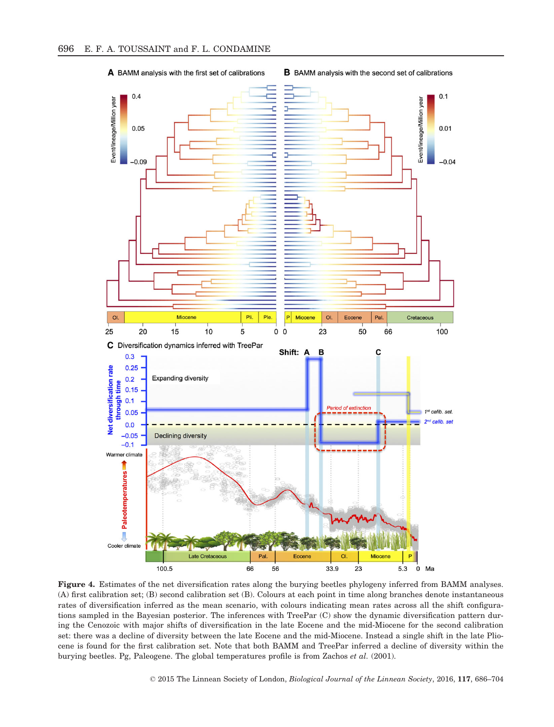

**B** BAMM analysis with the second set of calibrations



Figure 4. Estimates of the net diversification rates along the burying beetles phylogeny inferred from BAMM analyses. (A) first calibration set; (B) second calibration set (B). Colours at each point in time along branches denote instantaneous rates of diversification inferred as the mean scenario, with colours indicating mean rates across all the shift configurations sampled in the Bayesian posterior. The inferences with TreePar (C) show the dynamic diversification pattern during the Cenozoic with major shifts of diversification in the late Eocene and the mid-Miocene for the second calibration set: there was a decline of diversity between the late Eocene and the mid-Miocene. Instead a single shift in the late Pliocene is found for the first calibration set. Note that both BAMM and TreePar inferred a decline of diversity within the burying beetles. Pg, Paleogene. The global temperatures profile is from Zachos et al. (2001).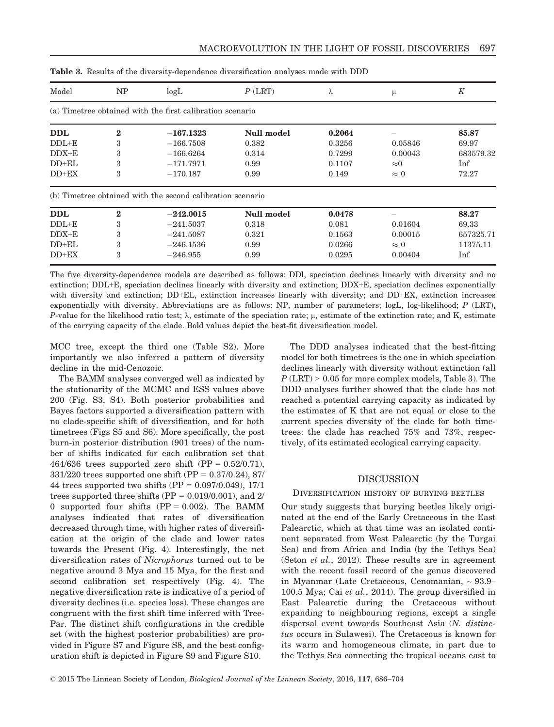| Model      | NP       | logL                                                       | $P$ (LRT)         | λ      | μ              | K         |
|------------|----------|------------------------------------------------------------|-------------------|--------|----------------|-----------|
|            |          | (a) Timetree obtained with the first calibration scenario  |                   |        |                |           |
| DDL        | $\bf{2}$ | $-167.1323$                                                | Null model        | 0.2064 |                | 85.87     |
| $DDL+E$    | 3        | $-166.7508$                                                | 0.382             | 0.3256 | 0.05846        | 69.97     |
| $DDX+E$    | 3        | $-166.6264$                                                | 0.314             | 0.7299 | 0.00043        | 683579.32 |
| $DD+EL$    | 3        | $-171.7971$                                                | 0.99              | 0.1107 | $\approx\!\!0$ | Inf       |
| $DD+EX$    | 3        | $-170.187$                                                 | 0.99              | 0.149  | $\approx 0$    | 72.27     |
|            |          | (b) Timetree obtained with the second calibration scenario |                   |        |                |           |
| <b>DDL</b> | $\bf{2}$ | $-242.0015$                                                | <b>Null model</b> | 0.0478 |                | 88.27     |
| $DDL+E$    | 3        | $-241.5037$                                                | 0.318             | 0.081  | 0.01604        | 69.33     |
| $DDX+E$    | 3        | $-241.5087$                                                | 0.321             | 0.1563 | 0.00015        | 657325.71 |
| $DD+EL$    | 3        | $-246.1536$                                                | 0.99              | 0.0266 | $\approx 0$    | 11375.11  |
| $DD+EX$    | 3        | $-246.955$                                                 | 0.99              | 0.0295 | 0.00404        | Inf       |

| <b>Table 3.</b> Results of the diversity-dependence diversification analyses made with DDD |  |
|--------------------------------------------------------------------------------------------|--|
|--------------------------------------------------------------------------------------------|--|

The five diversity-dependence models are described as follows: DDl, speciation declines linearly with diversity and no extinction; DDL+E, speciation declines linearly with diversity and extinction; DDX+E, speciation declines exponentially with diversity and extinction; DD+EL, extinction increases linearly with diversity; and DD+EX, extinction increases exponentially with diversity. Abbreviations are as follows: NP, number of parameters; logL, log-likelihood; P (LRT), P-value for the likelihood ratio test;  $\lambda$ , estimate of the speciation rate;  $\mu$ , estimate of the extinction rate; and K, estimate of the carrying capacity of the clade. Bold values depict the best-fit diversification model.

MCC tree, except the third one (Table S2). More importantly we also inferred a pattern of diversity decline in the mid-Cenozoic.

The BAMM analyses converged well as indicated by the stationarity of the MCMC and ESS values above 200 (Fig. S3, S4). Both posterior probabilities and Bayes factors supported a diversification pattern with no clade-specific shift of diversification, and for both timetrees (Figs S5 and S6). More specifically, the post burn-in posterior distribution (901 trees) of the number of shifts indicated for each calibration set that 464/636 trees supported zero shift  $(PP = 0.52/0.71)$ ,  $331/220$  trees supported one shift (PP = 0.37/0.24), 87/ 44 trees supported two shifts (PP = 0.097/0.049), 17/1 trees supported three shifts ( $PP = 0.019/0.001$ ), and 2/ 0 supported four shifts  $(PP = 0.002)$ . The BAMM analyses indicated that rates of diversification decreased through time, with higher rates of diversification at the origin of the clade and lower rates towards the Present (Fig. 4). Interestingly, the net diversification rates of Nicrophorus turned out to be negative around 3 Mya and 15 Mya, for the first and second calibration set respectively (Fig. 4). The negative diversification rate is indicative of a period of diversity declines (i.e. species loss). These changes are congruent with the first shift time inferred with Tree-Par. The distinct shift configurations in the credible set (with the highest posterior probabilities) are provided in Figure S7 and Figure S8, and the best configuration shift is depicted in Figure S9 and Figure S10.

The DDD analyses indicated that the best-fitting model for both timetrees is the one in which speciation declines linearly with diversity without extinction (all  $P$  (LRT) > 0.05 for more complex models, Table 3). The DDD analyses further showed that the clade has not reached a potential carrying capacity as indicated by the estimates of K that are not equal or close to the current species diversity of the clade for both timetrees: the clade has reached 75% and 73%, respectively, of its estimated ecological carrying capacity.

## DISCUSSION

## DIVERSIFICATION HISTORY OF BURYING BEETLES

Our study suggests that burying beetles likely originated at the end of the Early Cretaceous in the East Palearctic, which at that time was an isolated continent separated from West Palearctic (by the Turgai Sea) and from Africa and India (by the Tethys Sea) (Seton et al., 2012). These results are in agreement with the recent fossil record of the genus discovered in Myanmar (Late Cretaceous, Cenomanian, ~ 93.9– 100.5 Mya; Cai et al., 2014). The group diversified in East Palearctic during the Cretaceous without expanding to neighbouring regions, except a single dispersal event towards Southeast Asia (N. distinctus occurs in Sulawesi). The Cretaceous is known for its warm and homogeneous climate, in part due to the Tethys Sea connecting the tropical oceans east to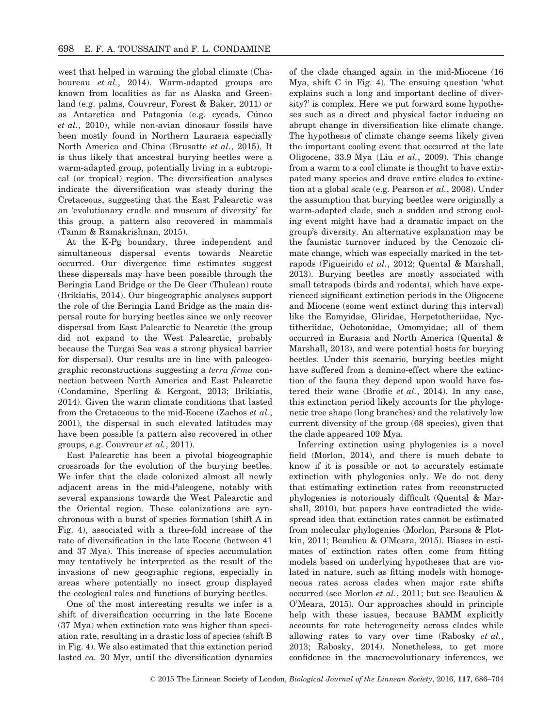west that helped in warming the global climate (Chaboureau et al., 2014). Warm-adapted groups are known from localities as far as Alaska and Greenland (e.g. palms, Couvreur, Forest & Baker, 2011) or as Antarctica and Patagonia (e.g. cycads, Cúneo et al., 2010), while non-avian dinosaur fossils have been mostly found in Northern Laurasia especially North America and China (Brusatte et al., 2015). It is thus likely that ancestral burying beetles were a warm-adapted group, potentially living in a subtropical (or tropical) region. The diversification analyses indicate the diversification was steady during the Cretaceous, suggesting that the East Palearctic was an 'evolutionary cradle and museum of diversity' for this group, a pattern also recovered in mammals (Tamm & Ramakrishnan, 2015).

At the K-Pg boundary, three independent and simultaneous dispersal events towards Nearctic occurred. Our divergence time estimates suggest these dispersals may have been possible through the Beringia Land Bridge or the De Geer (Thulean) route (Brikiatis, 2014). Our biogeographic analyses support the role of the Beringia Land Bridge as the main dispersal route for burying beetles since we only recover dispersal from East Palearctic to Nearctic (the group did not expand to the West Palearctic, probably because the Turgai Sea was a strong physical barrier for dispersal). Our results are in line with paleogeographic reconstructions suggesting a terra firma connection between North America and East Palearctic (Condamine, Sperling & Kergoat, 2013; Brikiatis, 2014). Given the warm climate conditions that lasted from the Cretaceous to the mid-Eocene (Zachos et al., 2001), the dispersal in such elevated latitudes may have been possible (a pattern also recovered in other groups, e.g. Couvreur et al., 2011).

East Palearctic has been a pivotal biogeographic crossroads for the evolution of the burying beetles. We infer that the clade colonized almost all newly adjacent areas in the mid-Paleogene, notably with several expansions towards the West Palearctic and the Oriental region. These colonizations are synchronous with a burst of species formation (shift A in Fig. 4), associated with a three-fold increase of the rate of diversification in the late Eocene (between 41 and 37 Mya). This increase of species accumulation may tentatively be interpreted as the result of the invasions of new geographic regions, especially in areas where potentially no insect group displayed the ecological roles and functions of burying beetles.

One of the most interesting results we infer is a shift of diversification occurring in the late Eocene (37 Mya) when extinction rate was higher than speciation rate, resulting in a drastic loss of species (shift B in Fig. 4). We also estimated that this extinction period lasted ca. 20 Myr, until the diversification dynamics

of the clade changed again in the mid-Miocene (16 Mya, shift C in Fig. 4). The ensuing question 'what explains such a long and important decline of diversity?' is complex. Here we put forward some hypotheses such as a direct and physical factor inducing an abrupt change in diversification like climate change. The hypothesis of climate change seems likely given the important cooling event that occurred at the late Oligocene, 33.9 Mya (Liu *et al.*, 2009). This change from a warm to a cool climate is thought to have extirpated many species and drove entire clades to extinction at a global scale (e.g. Pearson et al., 2008). Under the assumption that burying beetles were originally a warm-adapted clade, such a sudden and strong cooling event might have had a dramatic impact on the group's diversity. An alternative explanation may be the faunistic turnover induced by the Cenozoic climate change, which was especially marked in the tetrapods (Figueirido et al., 2012; Quental & Marshall, 2013). Burying beetles are mostly associated with small tetrapods (birds and rodents), which have experienced significant extinction periods in the Oligocene and Miocene (some went extinct during this interval) like the Eomyidae, Gliridae, Herpetotheriidae, Nyctitheriidae, Ochotonidae, Omomyidae; all of them occurred in Eurasia and North America (Quental & Marshall, 2013), and were potential hosts for burying beetles. Under this scenario, burying beetles might have suffered from a domino-effect where the extinction of the fauna they depend upon would have fostered their wane (Brodie et al., 2014). In any case, this extinction period likely accounts for the phylogenetic tree shape (long branches) and the relatively low current diversity of the group (68 species), given that the clade appeared 109 Mya.

Inferring extinction using phylogenies is a novel field (Morlon, 2014), and there is much debate to know if it is possible or not to accurately estimate extinction with phylogenies only. We do not deny that estimating extinction rates from reconstructed phylogenies is notoriously difficult (Quental & Marshall, 2010), but papers have contradicted the widespread idea that extinction rates cannot be estimated from molecular phylogenies (Morlon, Parsons & Plotkin, 2011; Beaulieu & O'Meara, 2015). Biases in estimates of extinction rates often come from fitting models based on underlying hypotheses that are violated in nature, such as fitting models with homogeneous rates across clades when major rate shifts occurred (see Morlon et al., 2011; but see Beaulieu & O'Meara, 2015). Our approaches should in principle help with these issues, because BAMM explicitly accounts for rate heterogeneity across clades while allowing rates to vary over time (Rabosky et al., 2013; Rabosky, 2014). Nonetheless, to get more confidence in the macroevolutionary inferences, we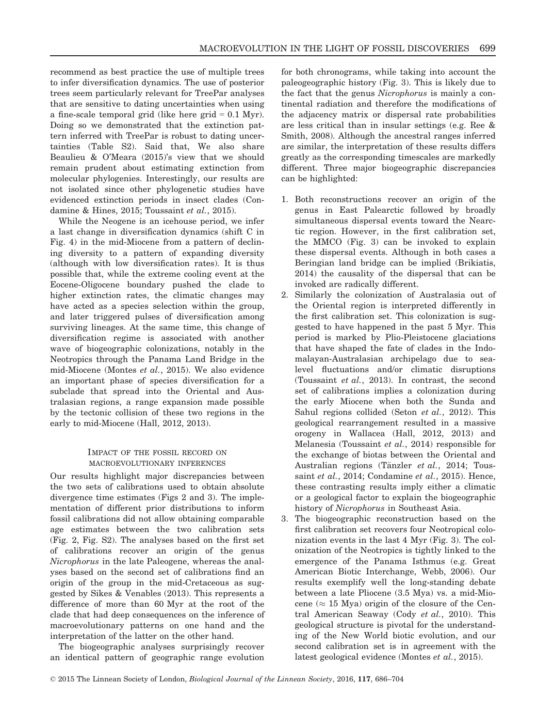recommend as best practice the use of multiple trees to infer diversification dynamics. The use of posterior trees seem particularly relevant for TreePar analyses that are sensitive to dating uncertainties when using a fine-scale temporal grid (like here grid  $= 0.1$  Myr). Doing so we demonstrated that the extinction pattern inferred with TreePar is robust to dating uncertainties (Table S2). Said that, We also share Beaulieu & O'Meara (2015)'s view that we should remain prudent about estimating extinction from molecular phylogenies. Interestingly, our results are not isolated since other phylogenetic studies have evidenced extinction periods in insect clades (Condamine & Hines, 2015; Toussaint et al., 2015).

While the Neogene is an icehouse period, we infer a last change in diversification dynamics (shift C in Fig. 4) in the mid-Miocene from a pattern of declining diversity to a pattern of expanding diversity (although with low diversification rates). It is thus possible that, while the extreme cooling event at the Eocene-Oligocene boundary pushed the clade to higher extinction rates, the climatic changes may have acted as a species selection within the group, and later triggered pulses of diversification among surviving lineages. At the same time, this change of diversification regime is associated with another wave of biogeographic colonizations, notably in the Neotropics through the Panama Land Bridge in the mid-Miocene (Montes et al., 2015). We also evidence an important phase of species diversification for a subclade that spread into the Oriental and Australasian regions, a range expansion made possible by the tectonic collision of these two regions in the early to mid-Miocene (Hall, 2012, 2013).

# IMPACT OF THE FOSSIL RECORD ON MACROEVOLUTIONARY INFERENCES

Our results highlight major discrepancies between the two sets of calibrations used to obtain absolute divergence time estimates (Figs 2 and 3). The implementation of different prior distributions to inform fossil calibrations did not allow obtaining comparable age estimates between the two calibration sets (Fig. 2, Fig. S2). The analyses based on the first set of calibrations recover an origin of the genus Nicrophorus in the late Paleogene, whereas the analyses based on the second set of calibrations find an origin of the group in the mid-Cretaceous as suggested by Sikes & Venables (2013). This represents a difference of more than 60 Myr at the root of the clade that had deep consequences on the inference of macroevolutionary patterns on one hand and the interpretation of the latter on the other hand.

The biogeographic analyses surprisingly recover an identical pattern of geographic range evolution for both chronograms, while taking into account the paleogeographic history (Fig. 3). This is likely due to the fact that the genus Nicrophorus is mainly a continental radiation and therefore the modifications of the adjacency matrix or dispersal rate probabilities are less critical than in insular settings (e.g. Ree & Smith, 2008). Although the ancestral ranges inferred are similar, the interpretation of these results differs greatly as the corresponding timescales are markedly different. Three major biogeographic discrepancies can be highlighted:

- 1. Both reconstructions recover an origin of the genus in East Palearctic followed by broadly simultaneous dispersal events toward the Nearctic region. However, in the first calibration set, the MMCO (Fig. 3) can be invoked to explain these dispersal events. Although in both cases a Beringian land bridge can be implied (Brikiatis, 2014) the causality of the dispersal that can be invoked are radically different.
- 2. Similarly the colonization of Australasia out of the Oriental region is interpreted differently in the first calibration set. This colonization is suggested to have happened in the past 5 Myr. This period is marked by Plio-Pleistocene glaciations that have shaped the fate of clades in the Indomalayan-Australasian archipelago due to sealevel fluctuations and/or climatic disruptions (Toussaint et al., 2013). In contrast, the second set of calibrations implies a colonization during the early Miocene when both the Sunda and Sahul regions collided (Seton et al., 2012). This geological rearrangement resulted in a massive orogeny in Wallacea (Hall, 2012, 2013) and Melanesia (Toussaint et al., 2014) responsible for the exchange of biotas between the Oriental and Australian regions (Tänzler et al., 2014; Toussaint et al., 2014; Condamine et al., 2015). Hence, these contrasting results imply either a climatic or a geological factor to explain the biogeographic history of Nicrophorus in Southeast Asia.
- 3. The biogeographic reconstruction based on the first calibration set recovers four Neotropical colonization events in the last 4 Myr (Fig. 3). The colonization of the Neotropics is tightly linked to the emergence of the Panama Isthmus (e.g. Great American Biotic Interchange, Webb, 2006). Our results exemplify well the long-standing debate between a late Pliocene (3.5 Mya) vs. a mid-Miocene ( $\approx 15$  Mya) origin of the closure of the Central American Seaway (Cody et al., 2010). This geological structure is pivotal for the understanding of the New World biotic evolution, and our second calibration set is in agreement with the latest geological evidence (Montes et al., 2015).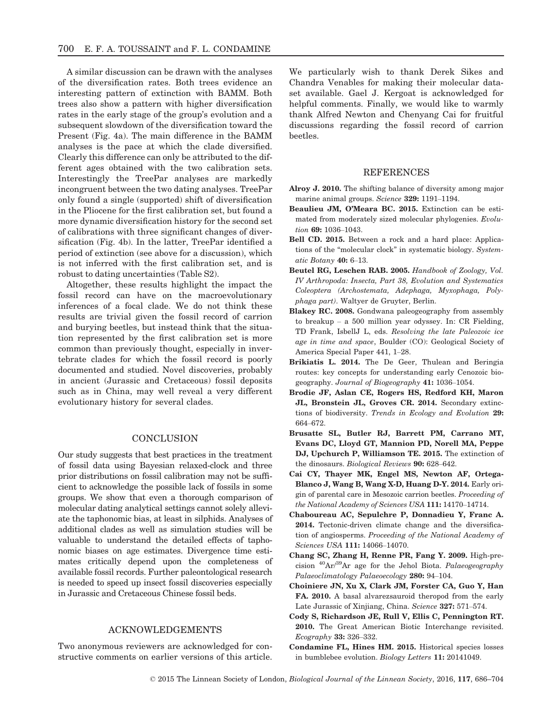A similar discussion can be drawn with the analyses of the diversification rates. Both trees evidence an interesting pattern of extinction with BAMM. Both trees also show a pattern with higher diversification rates in the early stage of the group's evolution and a subsequent slowdown of the diversification toward the Present (Fig. 4a). The main difference in the BAMM analyses is the pace at which the clade diversified. Clearly this difference can only be attributed to the different ages obtained with the two calibration sets. Interestingly the TreePar analyses are markedly incongruent between the two dating analyses. TreePar only found a single (supported) shift of diversification in the Pliocene for the first calibration set, but found a more dynamic diversification history for the second set of calibrations with three significant changes of diversification (Fig. 4b). In the latter, TreePar identified a period of extinction (see above for a discussion), which is not inferred with the first calibration set, and is robust to dating uncertainties (Table S2).

Altogether, these results highlight the impact the fossil record can have on the macroevolutionary inferences of a focal clade. We do not think these results are trivial given the fossil record of carrion and burying beetles, but instead think that the situation represented by the first calibration set is more common than previously thought, especially in invertebrate clades for which the fossil record is poorly documented and studied. Novel discoveries, probably in ancient (Jurassic and Cretaceous) fossil deposits such as in China, may well reveal a very different evolutionary history for several clades.

# **CONCLUSION**

Our study suggests that best practices in the treatment of fossil data using Bayesian relaxed-clock and three prior distributions on fossil calibration may not be sufficient to acknowledge the possible lack of fossils in some groups. We show that even a thorough comparison of molecular dating analytical settings cannot solely alleviate the taphonomic bias, at least in silphids. Analyses of additional clades as well as simulation studies will be valuable to understand the detailed effects of taphonomic biases on age estimates. Divergence time estimates critically depend upon the completeness of available fossil records. Further paleontological research is needed to speed up insect fossil discoveries especially in Jurassic and Cretaceous Chinese fossil beds.

# ACKNOWLEDGEMENTS

Two anonymous reviewers are acknowledged for constructive comments on earlier versions of this article. We particularly wish to thank Derek Sikes and Chandra Venables for making their molecular dataset available. Gael J. Kergoat is acknowledged for helpful comments. Finally, we would like to warmly thank Alfred Newton and Chenyang Cai for fruitful discussions regarding the fossil record of carrion beetles.

# **REFERENCES**

- Alroy J. 2010. The shifting balance of diversity among major marine animal groups. Science 329: 1191–1194.
- Beaulieu JM, O'Meara BC. 2015. Extinction can be estimated from moderately sized molecular phylogenies. Evolution 69: 1036–1043.
- Bell CD. 2015. Between a rock and a hard place: Applications of the "molecular clock" in systematic biology. Systematic Botany 40: 6–13.
- Beutel RG, Leschen RAB. 2005. Handbook of Zoology, Vol. IV Arthropoda: Insecta, Part 38, Evolution and Systematics Coleoptera (Archostemata, Adephaga, Myxophaga, Polyphaga part). Waltyer de Gruyter, Berlin.
- Blakey RC. 2008. Gondwana paleogeography from assembly to breakup – a 500 million year odyssey. In: CR Fielding, TD Frank, IsbellJ L, eds. Resolving the late Paleozoic ice age in time and space, Boulder (CO): Geological Society of America Special Paper 441, 1–28.
- Brikiatis L. 2014. The De Geer, Thulean and Beringia routes: key concepts for understanding early Cenozoic biogeography. Journal of Biogeography 41: 1036–1054.
- Brodie JF, Aslan CE, Rogers HS, Redford KH, Maron JL, Bronstein JL, Groves CR. 2014. Secondary extinctions of biodiversity. Trends in Ecology and Evolution 29: 664–672.
- Brusatte SL, Butler RJ, Barrett PM, Carrano MT, Evans DC, Lloyd GT, Mannion PD, Norell MA, Peppe DJ, Upchurch P, Williamson TE. 2015. The extinction of the dinosaurs. Biological Reviews 90: 628–642.
- Cai CY, Thayer MK, Engel MS, Newton AF, Ortega-Blanco J, Wang B, Wang X-D, Huang D-Y. 2014. Early origin of parental care in Mesozoic carrion beetles. Proceeding of the National Academy of Sciences USA 111: 14170–14714.
- Chaboureau AC, Sepulchre P, Donnadieu Y, Franc A. 2014. Tectonic-driven climate change and the diversification of angiosperms. Proceeding of the National Academy of Sciences USA 111: 14066–14070.
- Chang SC, Zhang H, Renne PR, Fang Y. 2009. High-precision  ${}^{40}\text{Ar}$ <sup>39</sup>Ar age for the Jehol Biota. *Palaeogeography* Palaeoclimatology Palaeoecology 280: 94–104.
- Choiniere JN, Xu X, Clark JM, Forster CA, Guo Y, Han FA. 2010. A basal alvarezsauroid theropod from the early Late Jurassic of Xinjiang, China. Science 327: 571–574.
- Cody S, Richardson JE, Rull V, Ellis C, Pennington RT. 2010. The Great American Biotic Interchange revisited. Ecography 33: 326–332.
- Condamine FL, Hines HM. 2015. Historical species losses in bumblebee evolution. Biology Letters 11: 20141049.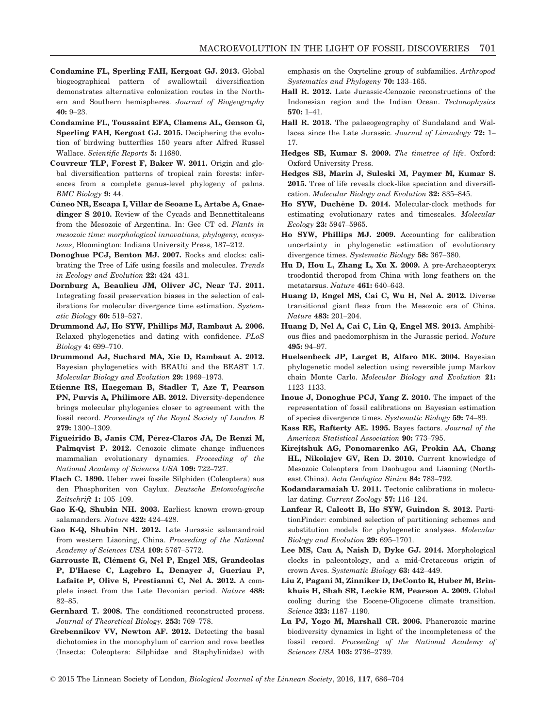- Condamine FL, Sperling FAH, Kergoat GJ. 2013. Global biogeographical pattern of swallowtail diversification demonstrates alternative colonization routes in the Northern and Southern hemispheres. Journal of Biogeography 40: 9–23.
- Condamine FL, Toussaint EFA, Clamens AL, Genson G, Sperling FAH, Kergoat GJ. 2015. Deciphering the evolution of birdwing butterflies 150 years after Alfred Russel Wallace. Scientific Reports 5: 11680.
- Couvreur TLP, Forest F, Baker W. 2011. Origin and global diversification patterns of tropical rain forests: inferences from a complete genus-level phylogeny of palms. BMC Biology 9: 44.
- Cúneo NR, Escapa I, Villar de Seoane L, Artabe A, Gnaedinger S 2010. Review of the Cycads and Bennettitaleans from the Mesozoic of Argentina. In: Gee CT ed. Plants in mesozoic time: morphological innovations, phylogeny, ecosystems, Bloomington: Indiana University Press, 187–212.
- Donoghue PCJ, Benton MJ. 2007. Rocks and clocks: calibrating the Tree of Life using fossils and molecules. Trends in Ecology and Evolution 22: 424–431.
- Dornburg A, Beaulieu JM, Oliver JC, Near TJ. 2011. Integrating fossil preservation biases in the selection of calibrations for molecular divergence time estimation. Systematic Biology 60: 519–527.
- Drummond AJ, Ho SYW, Phillips MJ, Rambaut A. 2006. Relaxed phylogenetics and dating with confidence. PLoS Biology 4: 699–710.
- Drummond AJ, Suchard MA, Xie D, Rambaut A. 2012. Bayesian phylogenetics with BEAUti and the BEAST 1.7. Molecular Biology and Evolution 29: 1969–1973.
- Etienne RS, Haegeman B, Stadler T, Aze T, Pearson PN, Purvis A, Philimore AB. 2012. Diversity-dependence brings molecular phylogenies closer to agreement with the fossil record. Proceedings of the Royal Society of London B 279: 1300–1309.
- Figueirido B, Janis CM, Pérez-Claros JA, De Renzi M, Palmqvist P. 2012. Cenozoic climate change influences mammalian evolutionary dynamics. Proceeding of the National Academy of Sciences USA 109: 722–727.
- Flach C. 1890. Ueber zwei fossile Silphiden (Coleoptera) aus den Phosphoriten von Caylux. Deutsche Entomologische Zeitschrift 1: 105–109.
- Gao K-Q, Shubin NH. 2003. Earliest known crown-group salamanders. Nature 422: 424–428.
- Gao K-Q, Shubin NH. 2012. Late Jurassic salamandroid from western Liaoning, China. Proceeding of the National Academy of Sciences USA 109: 5767–5772.
- Garrouste R, Clément G, Nel P, Engel MS, Grandcolas P, D'Haese C, Lagebro L, Denayer J, Gueriau P, Lafaite P, Olive S, Prestianni C, Nel A. 2012. A complete insect from the Late Devonian period. Nature 488: 82–85.
- Gernhard T. 2008. The conditioned reconstructed process. Journal of Theoretical Biology. 253: 769–778.
- Grebennikov VV, Newton AF. 2012. Detecting the basal dichotomies in the monophylum of carrion and rove beetles (Insecta: Coleoptera: Silphidae and Staphylinidae) with

emphasis on the Oxyteline group of subfamilies. Arthropod Systematics and Phylogeny 70: 133-165.

- Hall R. 2012. Late Jurassic-Cenozoic reconstructions of the Indonesian region and the Indian Ocean. Tectonophysics 570: 1–41.
- Hall R. 2013. The palaeogeography of Sundaland and Wallacea since the Late Jurassic. Journal of Limnology 72: 1-17.
- Hedges SB, Kumar S. 2009. The timetree of life. Oxford: Oxford University Press.
- Hedges SB, Marin J, Suleski M, Paymer M, Kumar S. 2015. Tree of life reveals clock-like speciation and diversification. Molecular Biology and Evolution 32: 835–845.
- Ho SYW, Duchêne D. 2014. Molecular-clock methods for estimating evolutionary rates and timescales. Molecular Ecology 23: 5947–5965.
- Ho SYW, Phillips MJ. 2009. Accounting for calibration uncertainty in phylogenetic estimation of evolutionary divergence times. Systematic Biology 58: 367–380.
- Hu D, Hou L, Zhang L, Xu X. 2009. A pre-Archaeopteryx troodontid theropod from China with long feathers on the metatarsus. Nature 461: 640–643.
- Huang D, Engel MS, Cai C, Wu H, Nel A. 2012. Diverse transitional giant fleas from the Mesozoic era of China. Nature 483: 201–204.
- Huang D, Nel A, Cai C, Lin Q, Engel MS. 2013. Amphibious flies and paedomorphism in the Jurassic period. Nature 495: 94–97.
- Huelsenbeck JP, Larget B, Alfaro ME. 2004. Bayesian phylogenetic model selection using reversible jump Markov chain Monte Carlo. Molecular Biology and Evolution 21: 1123–1133.
- Inoue J, Donoghue PCJ, Yang Z. 2010. The impact of the representation of fossil calibrations on Bayesian estimation of species divergence times. Systematic Biology 59: 74–89.
- Kass RE, Rafterty AE. 1995. Bayes factors. Journal of the American Statistical Association 90: 773–795.
- Kirejtshuk AG, Ponomarenko AG, Prokin AA, Chang HL, Nikolajev GV, Ren D. 2010. Current knowledge of Mesozoic Coleoptera from Daohugou and Liaoning (Northeast China). Acta Geologica Sinica 84: 783–792.
- Kodandaramaiah U. 2011. Tectonic calibrations in molecular dating. Current Zoology 57: 116-124.
- Lanfear R, Calcott B, Ho SYW, Guindon S. 2012. PartitionFinder: combined selection of partitioning schemes and substitution models for phylogenetic analyses. Molecular Biology and Evolution 29: 695–1701.
- Lee MS, Cau A, Naish D, Dyke GJ. 2014. Morphological clocks in paleontology, and a mid-Cretaceous origin of crown Aves. Systematic Biology 63: 442–449.
- Liu Z, Pagani M, Zinniker D, DeConto R, Huber M, Brinkhuis H, Shah SR, Leckie RM, Pearson A. 2009. Global cooling during the Eocene-Oligocene climate transition. Science 323: 1187–1190.
- Lu PJ, Yogo M, Marshall CR. 2006. Phanerozoic marine biodiversity dynamics in light of the incompleteness of the fossil record. Proceeding of the National Academy of Sciences USA 103: 2736–2739.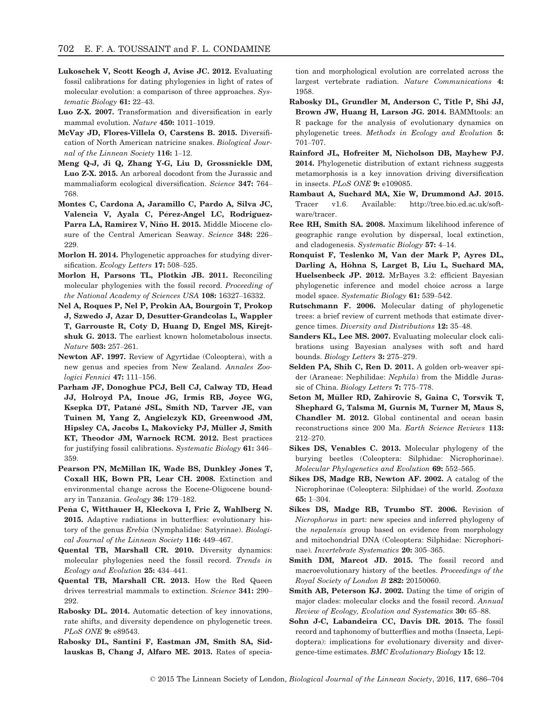- Lukoschek V, Scott Keogh J, Avise JC. 2012. Evaluating fossil calibrations for dating phylogenies in light of rates of molecular evolution: a comparison of three approaches. Systematic Biology 61: 22–43.
- Luo Z-X. 2007. Transformation and diversification in early mammal evolution. Nature 450: 1011-1019.
- McVay JD, Flores-Villela O, Carstens B. 2015. Diversification of North American natricine snakes. Biological Journal of the Linnean Society 116: 1–12.
- Meng Q-J, Ji Q, Zhang Y-G, Liu D, Grossnickle DM, Luo Z-X. 2015. An arboreal docodont from the Jurassic and mammaliaform ecological diversification. Science 347: 764– 768.
- Montes C, Cardona A, Jaramillo C, Pardo A, Silva JC, Valencia V, Ayala C, Pérez-Angel LC, Rodriguez-Parra LA, Ramirez V, Niño H. 2015. Middle Miocene closure of the Central American Seaway. Science 348: 226– 229.
- Morlon H. 2014. Phylogenetic approaches for studying diversification. Ecology Letters 17: 508-525.
- Morlon H, Parsons TL, Plotkin JB. 2011. Reconciling molecular phylogenies with the fossil record. Proceeding of the National Academy of Sciences USA 108: 16327–16332.
- Nel A, Roques P, Nel P, Prokin AA, Bourgoin T, Prokop J, Szwedo J, Azar D, Desutter-Grandcolas L, Wappler T, Garrouste R, Coty D, Huang D, Engel MS, Kirejtshuk G. 2013. The earliest known holometabolous insects. Nature 503: 257–261.
- Newton AF. 1997. Review of Agyrtidae (Coleoptera), with a new genus and species from New Zealand. Annales Zoologici Fennici 47: 111–156.
- Parham JF, Donoghue PCJ, Bell CJ, Calway TD, Head JJ, Holroyd PA, Inoue JG, Irmis RB, Joyce WG, Ksepka DT, Patane JSL, Smith ND, Tarver JE, van - Tuinen M, Yang Z, Angielczyk KD, Greenwood JM, Hipsley CA, Jacobs L, Makovicky PJ, Müller J, Smith KT, Theodor JM, Warnock RCM. 2012. Best practices for justifying fossil calibrations. Systematic Biology 61: 346– 359.
- Pearson PN, McMillan IK, Wade BS, Dunkley Jones T, Coxall HK, Bown PR, Lear CH. 2008. Extinction and environmental change across the Eocene-Oligocene boundary in Tanzania. Geology 36: 179–182.
- Pena C, Witthauer H, Kleckova I, Fric Z, Wahlberg N. ~ 2015. Adaptive radiations in butterflies: evolutionary history of the genus Erebia (Nymphalidae: Satyrinae). Biological Journal of the Linnean Society 116: 449–467.
- Quental TB, Marshall CR. 2010. Diversity dynamics: molecular phylogenies need the fossil record. Trends in Ecology and Evolution 25: 434–441.
- Quental TB, Marshall CR. 2013. How the Red Queen drives terrestrial mammals to extinction. Science 341: 290– 292.
- Rabosky DL. 2014. Automatic detection of key innovations, rate shifts, and diversity dependence on phylogenetic trees. PLoS ONE 9: e89543.
- Rabosky DL, Santini F, Eastman JM, Smith SA, Sidlauskas B, Chang J, Alfaro ME. 2013. Rates of specia-

tion and morphological evolution are correlated across the largest vertebrate radiation. Nature Communications 4: 1958.

- Rabosky DL, Grundler M, Anderson C, Title P, Shi JJ, Brown JW, Huang H, Larson JG. 2014. BAMMtools: an R package for the analysis of evolutionary dynamics on phylogenetic trees. Methods in Ecology and Evolution 5: 701–707.
- Rainford JL, Hofreiter M, Nicholson DB, Mayhew PJ. 2014. Phylogenetic distribution of extant richness suggests metamorphosis is a key innovation driving diversification in insects. PLoS ONE 9: e109085.
- Rambaut A, Suchard MA, Xie W, Drummond AJ. 2015. Tracer v1.6. Available: [http://tree.bio.ed.ac.uk/soft](http://tree.bio.ed.ac.uk/software/tracer)[ware/tracer](http://tree.bio.ed.ac.uk/software/tracer).
- Ree RH, Smith SA. 2008. Maximum likelihood inference of geographic range evolution by dispersal, local extinction, and cladogenesis. Systematic Biology 57: 4–14.
- Ronquist F, Teslenko M, Van der Mark P, Ayres DL, Darling A, Höhna S, Larget B, Liu L, Suchard MA, Huelsenbeck JP. 2012. MrBayes 3.2: efficient Bayesian phylogenetic inference and model choice across a large model space. Systematic Biology 61: 539–542.
- Rutschmann F. 2006. Molecular dating of phylogenetic trees: a brief review of current methods that estimate divergence times. Diversity and Distributions 12: 35–48.
- Sanders KL, Lee MS. 2007. Evaluating molecular clock calibrations using Bayesian analyses with soft and hard bounds. Biology Letters 3: 275–279.
- Selden PA, Shih C, Ren D. 2011. A golden orb-weaver spider (Araneae: Nephilidae: Nephila) from the Middle Jurassic of China. Biology Letters 7: 775–778.
- Seton M, Müller RD, Zahirovic S, Gaina C, Torsvik T, Shephard G, Talsma M, Gurnis M, Turner M, Maus S, Chandler M. 2012. Global continental and ocean basin reconstructions since 200 Ma. Earth Science Reviews 113: 212–270.
- Sikes DS, Venables C. 2013. Molecular phylogeny of the burying beetles (Coleoptera: Silphidae: Nicrophorinae). Molecular Phylogenetics and Evolution 69: 552–565.
- Sikes DS, Madge RB, Newton AF. 2002. A catalog of the Nicrophorinae (Coleoptera: Silphidae) of the world. Zootaxa 65: 1–304.
- Sikes DS, Madge RB, Trumbo ST. 2006. Revision of Nicrophorus in part: new species and inferred phylogeny of the nepalensis group based on evidence from morphology and mitochondrial DNA (Coleoptera: Silphidae: Nicrophorinae). Invertebrate Systematics 20: 305–365.
- Smith DM, Marcot JD. 2015. The fossil record and macroevolutionary history of the beetles. Proceedings of the Royal Society of London B 282: 20150060.
- Smith AB, Peterson KJ. 2002. Dating the time of origin of major clades: molecular clocks and the fossil record. Annual Review of Ecology, Evolution and Systematics 30: 65–88.
- Sohn J-C, Labandeira CC, Davis DR. 2015. The fossil record and taphonomy of butterflies and moths (Insecta, Lepidoptera): implications for evolutionary diversity and divergence-time estimates. BMC Evolutionary Biology 15: 12.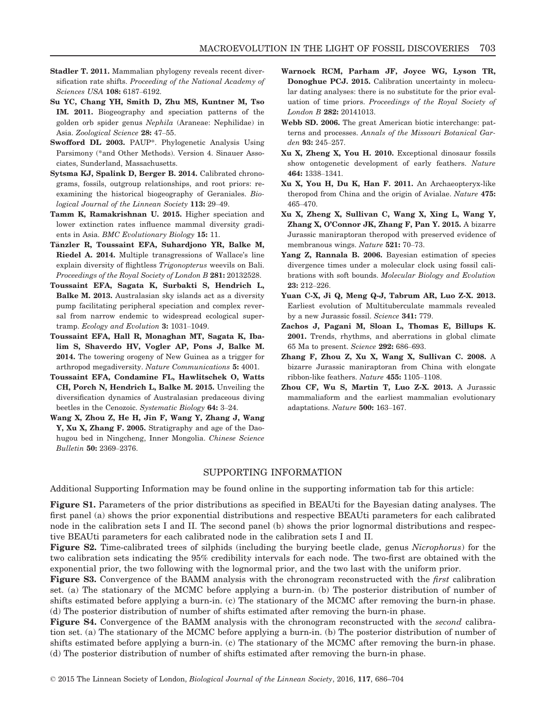- Stadler T. 2011. Mammalian phylogeny reveals recent diversification rate shifts. Proceeding of the National Academy of Sciences USA 108: 6187–6192.
- Su YC, Chang YH, Smith D, Zhu MS, Kuntner M, Tso IM. 2011. Biogeography and speciation patterns of the golden orb spider genus Nephila (Araneae: Nephilidae) in Asia. Zoological Science 28: 47–55.
- Swofford DL 2003. PAUP\*. Phylogenetic Analysis Using Parsimony (\*and Other Methods). Version 4. Sinauer Associates, Sunderland, Massachusetts.
- Sytsma KJ, Spalink D, Berger B. 2014. Calibrated chronograms, fossils, outgroup relationships, and root priors: reexamining the historical biogeography of Geraniales. Biological Journal of the Linnean Society 113: 29–49.
- Tamm K, Ramakrishnan U. 2015. Higher speciation and lower extinction rates influence mammal diversity gradients in Asia. BMC Evolutionary Biology 15: 11.
- Tänzler R, Toussaint EFA, Suhardjono YR, Balke M, Riedel A. 2014. Multiple transgressions of Wallace's line explain diversity of flightless Trigonopterus weevils on Bali. Proceedings of the Royal Society of London B 281: 20132528.
- Toussaint EFA, Sagata K, Surbakti S, Hendrich L, Balke M. 2013. Australasian sky islands act as a diversity pump facilitating peripheral speciation and complex reversal from narrow endemic to widespread ecological supertramp. Ecology and Evolution 3: 1031–1049.
- Toussaint EFA, Hall R, Monaghan MT, Sagata K, Ibalim S, Shaverdo HV, Vogler AP, Pons J, Balke M. 2014. The towering orogeny of New Guinea as a trigger for arthropod megadiversity. Nature Communications 5: 4001.
- Toussaint EFA, Condamine FL, Hawlitschek O, Watts CH, Porch N, Hendrich L, Balke M. 2015. Unveiling the diversification dynamics of Australasian predaceous diving beetles in the Cenozoic. Systematic Biology 64: 3–24.
- Wang X, Zhou Z, He H, Jin F, Wang Y, Zhang J, Wang Y, Xu X, Zhang F. 2005. Stratigraphy and age of the Daohugou bed in Ningcheng, Inner Mongolia. Chinese Science Bulletin 50: 2369–2376.
- Warnock RCM, Parham JF, Joyce WG, Lyson TR, Donoghue PCJ. 2015. Calibration uncertainty in molecular dating analyses: there is no substitute for the prior evaluation of time priors. Proceedings of the Royal Society of London B 282: 20141013.
- Webb SD. 2006. The great American biotic interchange: patterns and processes. Annals of the Missouri Botanical Garden 93: 245–257.
- Xu X, Zheng X, You H. 2010. Exceptional dinosaur fossils show ontogenetic development of early feathers. Nature 464: 1338–1341.
- Xu X, You H, Du K, Han F. 2011. An Archaeopteryx-like theropod from China and the origin of Avialae. Nature 475: 465–470.
- Xu X, Zheng X, Sullivan C, Wang X, Xing L, Wang Y, Zhang X, O'Connor JK, Zhang F, Pan Y. 2015. A bizarre Jurassic maniraptoran theropod with preserved evidence of membranous wings. Nature 521: 70-73.
- Yang Z, Rannala B. 2006. Bayesian estimation of species divergence times under a molecular clock using fossil calibrations with soft bounds. Molecular Biology and Evolution 23: 212–226.
- Yuan C-X, Ji Q, Meng Q-J, Tabrum AR, Luo Z-X. 2013. Earliest evolution of Multituberculate mammals revealed by a new Jurassic fossil. Science 341: 779.
- Zachos J, Pagani M, Sloan L, Thomas E, Billups K. 2001. Trends, rhythms, and aberrations in global climate 65 Ma to present. Science 292: 686–693.
- Zhang F, Zhou Z, Xu X, Wang X, Sullivan C. 2008. A bizarre Jurassic maniraptoran from China with elongate ribbon-like feathers. Nature 455: 1105–1108.
- Zhou CF, Wu S, Martin T, Luo Z-X. 2013. A Jurassic mammaliaform and the earliest mammalian evolutionary adaptations. Nature 500: 163–167.

## SUPPORTING INFORMATION

Additional Supporting Information may be found online in the supporting information tab for this article:

Figure S1. Parameters of the prior distributions as specified in BEAUti for the Bayesian dating analyses. The first panel (a) shows the prior exponential distributions and respective BEAUti parameters for each calibrated node in the calibration sets I and II. The second panel (b) shows the prior lognormal distributions and respective BEAUti parameters for each calibrated node in the calibration sets I and II.

Figure S2. Time-calibrated trees of silphids (including the burying beetle clade, genus Nicrophorus) for the two calibration sets indicating the 95% credibility intervals for each node. The two-first are obtained with the exponential prior, the two following with the lognormal prior, and the two last with the uniform prior.

Figure S3. Convergence of the BAMM analysis with the chronogram reconstructed with the *first* calibration set. (a) The stationary of the MCMC before applying a burn-in. (b) The posterior distribution of number of shifts estimated before applying a burn-in. (c) The stationary of the MCMC after removing the burn-in phase. (d) The posterior distribution of number of shifts estimated after removing the burn-in phase.

**Figure S4.** Convergence of the BAMM analysis with the chronogram reconstructed with the *second* calibration set. (a) The stationary of the MCMC before applying a burn-in. (b) The posterior distribution of number of shifts estimated before applying a burn-in. (c) The stationary of the MCMC after removing the burn-in phase. (d) The posterior distribution of number of shifts estimated after removing the burn-in phase.